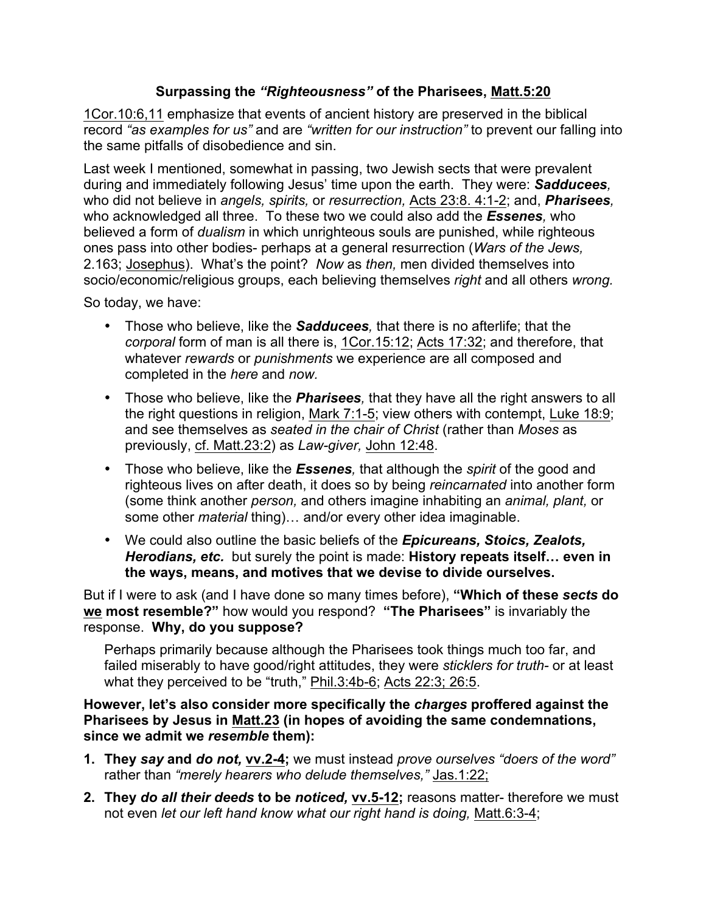## **Surpassing the** *"Righteousness"* **of the Pharisees, Matt.5:20**

1Cor.10:6,11 emphasize that events of ancient history are preserved in the biblical record *"as examples for us"* and are *"written for our instruction"* to prevent our falling into the same pitfalls of disobedience and sin.

Last week I mentioned, somewhat in passing, two Jewish sects that were prevalent during and immediately following Jesus' time upon the earth. They were: *Sadducees,*  who did not believe in *angels, spirits,* or *resurrection,* Acts 23:8. 4:1-2; and, *Pharisees,*  who acknowledged all three. To these two we could also add the *Essenes,* who believed a form of *dualism* in which unrighteous souls are punished, while righteous ones pass into other bodies- perhaps at a general resurrection (*Wars of the Jews,*  2.163; Josephus). What's the point? *Now* as *then,* men divided themselves into socio/economic/religious groups, each believing themselves *right* and all others *wrong.* 

So today, we have:

- Those who believe, like the *Sadducees,* that there is no afterlife; that the *corporal* form of man is all there is, 1Cor.15:12; Acts 17:32; and therefore, that whatever *rewards* or *punishments* we experience are all composed and completed in the *here* and *now.*
- Those who believe, like the *Pharisees,* that they have all the right answers to all the right questions in religion, Mark 7:1-5; view others with contempt, Luke 18:9; and see themselves as *seated in the chair of Christ* (rather than *Moses* as previously, cf. Matt.23:2) as *Law-giver,* John 12:48.
- Those who believe, like the *Essenes,* that although the *spirit* of the good and righteous lives on after death, it does so by being *reincarnated* into another form (some think another *person,* and others imagine inhabiting an *animal, plant,* or some other *material* thing)… and/or every other idea imaginable.
- We could also outline the basic beliefs of the *Epicureans, Stoics, Zealots, Herodians, etc.* but surely the point is made: **History repeats itself… even in the ways, means, and motives that we devise to divide ourselves.**

But if I were to ask (and I have done so many times before), **"Which of these** *sects* **do we most resemble?"** how would you respond? **"The Pharisees"** is invariably the response. **Why, do you suppose?** 

Perhaps primarily because although the Pharisees took things much too far, and failed miserably to have good/right attitudes, they were *sticklers for truth-* or at least what they perceived to be "truth," Phil.3:4b-6; Acts 22:3; 26:5.

**However, let's also consider more specifically the** *charges* **proffered against the Pharisees by Jesus in Matt.23 (in hopes of avoiding the same condemnations, since we admit we** *resemble* **them):**

- **1. They** *say* **and** *do not,* **vv.2-4;** we must instead *prove ourselves "doers of the word"*  rather than *"merely hearers who delude themselves,"* Jas.1:22;
- **2. They** *do all their deeds* **to be** *noticed,* **vv.5-12;** reasons matter- therefore we must not even *let our left hand know what our right hand is doing,* Matt.6:3-4;